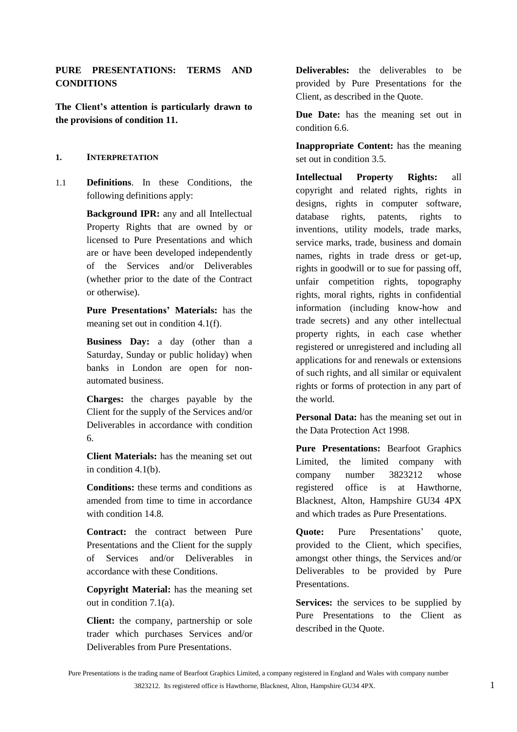# **PURE PRESENTATIONS: TERMS AND CONDITIONS**

**The Client's attention is particularly drawn to the provisions of condition [11.](#page-10-0)**

### **1. INTERPRETATION**

1.1 **Definitions**. In these Conditions, the following definitions apply:

> **Background IPR:** any and all Intellectual Property Rights that are owned by or licensed to Pure Presentations and which are or have been developed independently of the Services and/or Deliverables (whether prior to the date of the Contract or otherwise).

> **Pure Presentations' Materials:** has the meaning set out in condition [4.1\(f\).](#page-4-0)

> **Business Day:** a day (other than a Saturday, Sunday or public holiday) when banks in London are open for nonautomated business.

> **Charges:** the charges payable by the Client for the supply of the Services and/or Deliverables in accordance with condition [6.](#page-5-0)

> **Client Materials:** has the meaning set out in condition [4.1\(b\).](#page-3-0)

> **Conditions:** these terms and conditions as amended from time to time in accordance with condition [14.8.](#page-15-0)

> **Contract:** the contract between Pure Presentations and the Client for the supply of Services and/or Deliverables in accordance with these Conditions.

> **Copyright Material:** has the meaning set out in condition [7.1\(a\).](#page-7-0)

> **Client:** the company, partnership or sole trader which purchases Services and/or Deliverables from Pure Presentations.

**Deliverables:** the deliverables to be provided by Pure Presentations for the Client, as described in the Quote.

**Due Date:** has the meaning set out in condition [6.6.](#page-6-0)

**Inappropriate Content:** has the meaning set out in condition [3.5.](#page-2-0)

**Intellectual Property Rights:** all copyright and related rights, rights in designs, rights in computer software, database rights, patents, rights to inventions, utility models, trade marks, service marks, trade, business and domain names, rights in trade dress or get-up, rights in goodwill or to sue for passing off, unfair competition rights, topography rights, moral rights, rights in confidential information (including know-how and trade secrets) and any other intellectual property rights, in each case whether registered or unregistered and including all applications for and renewals or extensions of such rights, and all similar or equivalent rights or forms of protection in any part of the world.

**Personal Data:** has the meaning set out in the Data Protection Act 1998.

**Pure Presentations:** Bearfoot Graphics Limited, the limited company with company number 3823212 whose registered office is at Hawthorne, Blacknest, Alton, Hampshire GU34 4PX and which trades as Pure Presentations.

**Quote:** Pure Presentations' quote, provided to the Client, which specifies, amongst other things, the Services and/or Deliverables to be provided by Pure Presentations.

**Services:** the services to be supplied by Pure Presentations to the Client as described in the Quote.

Pure Presentations is the trading name of Bearfoot Graphics Limited, a company registered in England and Wales with company number 3823212. Its registered office is Hawthorne, Blacknest, Alton, Hampshire GU34 4PX. 1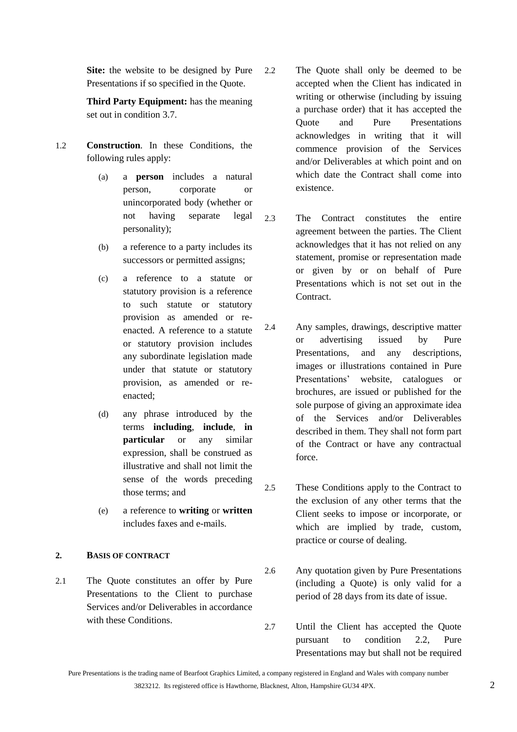**Site:** the website to be designed by Pure Presentations if so specified in the Quote.

**Third Party Equipment:** has the meaning set out in condition [3.7.](#page-2-1)

- 1.2 **Construction**. In these Conditions, the following rules apply:
	- (a) a **person** includes a natural person, corporate or unincorporated body (whether or not having separate legal personality);
	- (b) a reference to a party includes its successors or permitted assigns;
	- (c) a reference to a statute or statutory provision is a reference to such statute or statutory provision as amended or reenacted. A reference to a statute or statutory provision includes any subordinate legislation made under that statute or statutory provision, as amended or reenacted;
	- (d) any phrase introduced by the terms **including**, **include**, **in particular** or any similar expression, shall be construed as illustrative and shall not limit the sense of the words preceding those terms; and
	- (e) a reference to **writing** or **written** includes faxes and e-mails.

# **2. BASIS OF CONTRACT**

2.1 The Quote constitutes an offer by Pure Presentations to the Client to purchase Services and/or Deliverables in accordance with these Conditions.

- <span id="page-1-0"></span>2.2 The Quote shall only be deemed to be accepted when the Client has indicated in writing or otherwise (including by issuing a purchase order) that it has accepted the Quote and Pure Presentations acknowledges in writing that it will commence provision of the Services and/or Deliverables at which point and on which date the Contract shall come into existence.
- 2.3 The Contract constitutes the entire agreement between the parties. The Client acknowledges that it has not relied on any statement, promise or representation made or given by or on behalf of Pure Presentations which is not set out in the Contract.
- 2.4 Any samples, drawings, descriptive matter or advertising issued by Pure Presentations, and any descriptions, images or illustrations contained in Pure Presentations' website, catalogues or brochures, are issued or published for the sole purpose of giving an approximate idea of the Services and/or Deliverables described in them. They shall not form part of the Contract or have any contractual force.
- 2.5 These Conditions apply to the Contract to the exclusion of any other terms that the Client seeks to impose or incorporate, or which are implied by trade, custom, practice or course of dealing.
- 2.6 Any quotation given by Pure Presentations (including a Quote) is only valid for a period of 28 days from its date of issue.
- 2.7 Until the Client has accepted the Quote pursuant to condition [2.2,](#page-1-0) Pure Presentations may but shall not be required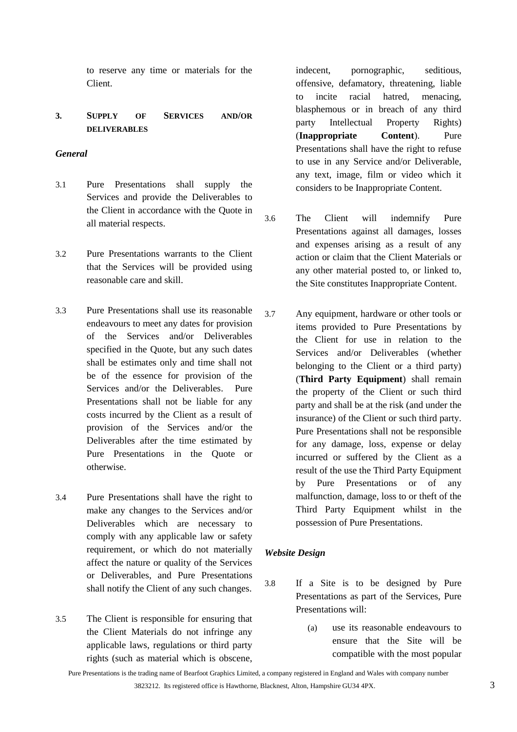to reserve any time or materials for the Client.

# **3. SUPPLY OF SERVICES AND/OR DELIVERABLES**

### *General*

- 3.1 Pure Presentations shall supply the Services and provide the Deliverables to the Client in accordance with the Quote in all material respects.
- 3.2 Pure Presentations warrants to the Client that the Services will be provided using reasonable care and skill.
- 3.3 Pure Presentations shall use its reasonable endeavours to meet any dates for provision of the Services and/or Deliverables specified in the Quote, but any such dates shall be estimates only and time shall not be of the essence for provision of the Services and/or the Deliverables. Pure Presentations shall not be liable for any costs incurred by the Client as a result of provision of the Services and/or the Deliverables after the time estimated by Pure Presentations in the Quote or otherwise.
- 3.4 Pure Presentations shall have the right to make any changes to the Services and/or Deliverables which are necessary to comply with any applicable law or safety requirement, or which do not materially affect the nature or quality of the Services or Deliverables, and Pure Presentations shall notify the Client of any such changes.
- <span id="page-2-0"></span>3.5 The Client is responsible for ensuring that the Client Materials do not infringe any applicable laws, regulations or third party rights (such as material which is obscene,

indecent, pornographic, seditious, offensive, defamatory, threatening, liable to incite racial hatred, menacing, blasphemous or in breach of any third party Intellectual Property Rights) (**Inappropriate Content**). Pure Presentations shall have the right to refuse to use in any Service and/or Deliverable, any text, image, film or video which it considers to be Inappropriate Content.

- 3.6 The Client will indemnify Pure Presentations against all damages, losses and expenses arising as a result of any action or claim that the Client Materials or any other material posted to, or linked to, the Site constitutes Inappropriate Content.
- <span id="page-2-1"></span>3.7 Any equipment, hardware or other tools or items provided to Pure Presentations by the Client for use in relation to the Services and/or Deliverables (whether belonging to the Client or a third party) (**Third Party Equipment**) shall remain the property of the Client or such third party and shall be at the risk (and under the insurance) of the Client or such third party. Pure Presentations shall not be responsible for any damage, loss, expense or delay incurred or suffered by the Client as a result of the use the Third Party Equipment by Pure Presentations or of any malfunction, damage, loss to or theft of the Third Party Equipment whilst in the possession of Pure Presentations.

# *Website Design*

- <span id="page-2-2"></span>3.8 If a Site is to be designed by Pure Presentations as part of the Services, Pure Presentations will:
	- (a) use its reasonable endeavours to ensure that the Site will be compatible with the most popular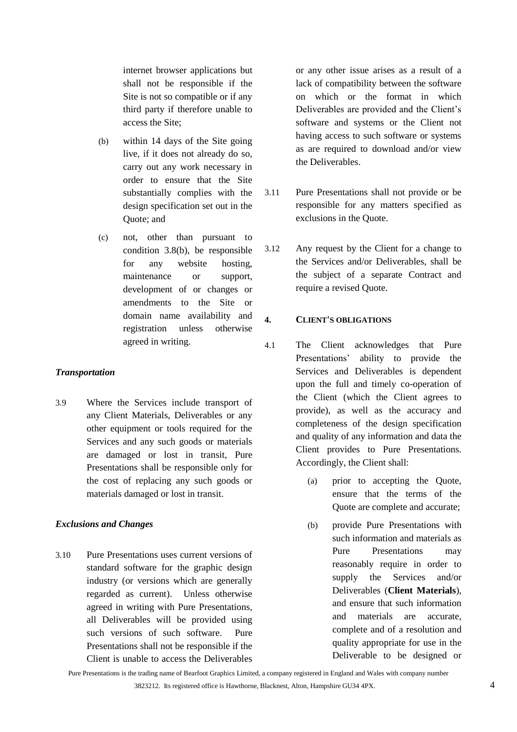internet browser applications but shall not be responsible if the Site is not so compatible or if any third party if therefore unable to access the Site;

- <span id="page-3-1"></span>(b) within 14 days of the Site going live, if it does not already do so, carry out any work necessary in order to ensure that the Site substantially complies with the design specification set out in the Quote; and
- (c) not, other than pursuant to condition [3.8](#page-2-2)[\(b\),](#page-3-1) be responsible for any website hosting, maintenance or support, development of or changes or amendments to the Site or domain name availability and registration unless otherwise agreed in writing.

### *Transportation*

3.9 Where the Services include transport of any Client Materials, Deliverables or any other equipment or tools required for the Services and any such goods or materials are damaged or lost in transit, Pure Presentations shall be responsible only for the cost of replacing any such goods or materials damaged or lost in transit.

# *Exclusions and Changes*

3.10 Pure Presentations uses current versions of standard software for the graphic design industry (or versions which are generally regarded as current). Unless otherwise agreed in writing with Pure Presentations, all Deliverables will be provided using such versions of such software. Pure Presentations shall not be responsible if the Client is unable to access the Deliverables

or any other issue arises as a result of a lack of compatibility between the software on which or the format in which Deliverables are provided and the Client's software and systems or the Client not having access to such software or systems as are required to download and/or view the Deliverables.

- 3.11 Pure Presentations shall not provide or be responsible for any matters specified as exclusions in the Quote.
- <span id="page-3-2"></span>3.12 Any request by the Client for a change to the Services and/or Deliverables, shall be the subject of a separate Contract and require a revised Quote.

# **4. CLIENT'S OBLIGATIONS**

- <span id="page-3-0"></span>4.1 The Client acknowledges that Pure Presentations' ability to provide the Services and Deliverables is dependent upon the full and timely co-operation of the Client (which the Client agrees to provide), as well as the accuracy and completeness of the design specification and quality of any information and data the Client provides to Pure Presentations. Accordingly, the Client shall:
	- (a) prior to accepting the Quote, ensure that the terms of the Quote are complete and accurate;
	- (b) provide Pure Presentations with such information and materials as Pure Presentations may reasonably require in order to supply the Services and/or Deliverables (**Client Materials**), and ensure that such information and materials are accurate, complete and of a resolution and quality appropriate for use in the Deliverable to be designed or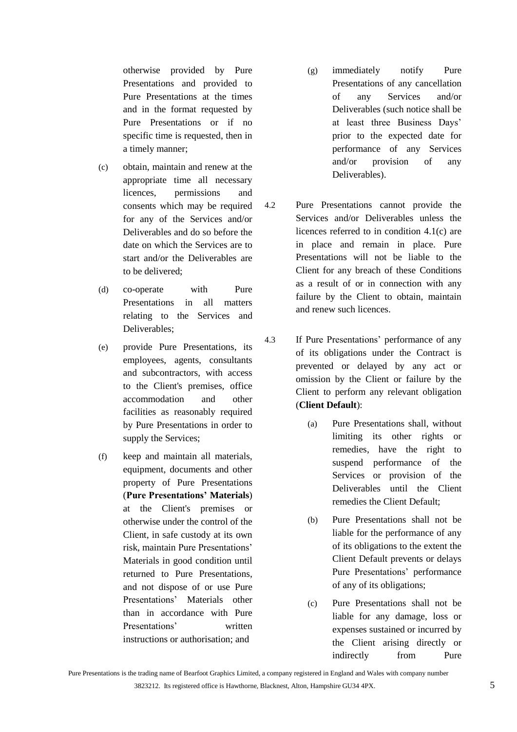otherwise provided by Pure Presentations and provided to Pure Presentations at the times and in the format requested by Pure Presentations or if no specific time is requested, then in a timely manner;

- <span id="page-4-1"></span>(c) obtain, maintain and renew at the appropriate time all necessary licences, permissions and consents which may be required for any of the Services and/or Deliverables and do so before the date on which the Services are to start and/or the Deliverables are to be delivered;
- (d) co-operate with Pure Presentations in all matters relating to the Services and Deliverables;
- (e) provide Pure Presentations, its employees, agents, consultants and subcontractors, with access to the Client's premises, office accommodation and other facilities as reasonably required by Pure Presentations in order to supply the Services;
- <span id="page-4-0"></span>(f) keep and maintain all materials, equipment, documents and other property of Pure Presentations (**Pure Presentations' Materials**) at the Client's premises or otherwise under the control of the Client, in safe custody at its own risk, maintain Pure Presentations' Materials in good condition until returned to Pure Presentations, and not dispose of or use Pure Presentations' Materials other than in accordance with Pure Presentations' written instructions or authorisation; and
- (g) immediately notify Pure Presentations of any cancellation of any Services and/or Deliverables (such notice shall be at least three Business Days' prior to the expected date for performance of any Services and/or provision of any Deliverables).
- <span id="page-4-2"></span>4.2 Pure Presentations cannot provide the Services and/or Deliverables unless the licences referred to in condition [4.1\(c\)](#page-4-1) are in place and remain in place. Pure Presentations will not be liable to the Client for any breach of these Conditions as a result of or in connection with any failure by the Client to obtain, maintain and renew such licences.
- 4.3 If Pure Presentations' performance of any of its obligations under the Contract is prevented or delayed by any act or omission by the Client or failure by the Client to perform any relevant obligation (**Client Default**):
	- (a) Pure Presentations shall, without limiting its other rights or remedies, have the right to suspend performance of the Services or provision of the Deliverables until the Client remedies the Client Default;
	- (b) Pure Presentations shall not be liable for the performance of any of its obligations to the extent the Client Default prevents or delays Pure Presentations' performance of any of its obligations;
	- (c) Pure Presentations shall not be liable for any damage, loss or expenses sustained or incurred by the Client arising directly or indirectly from Pure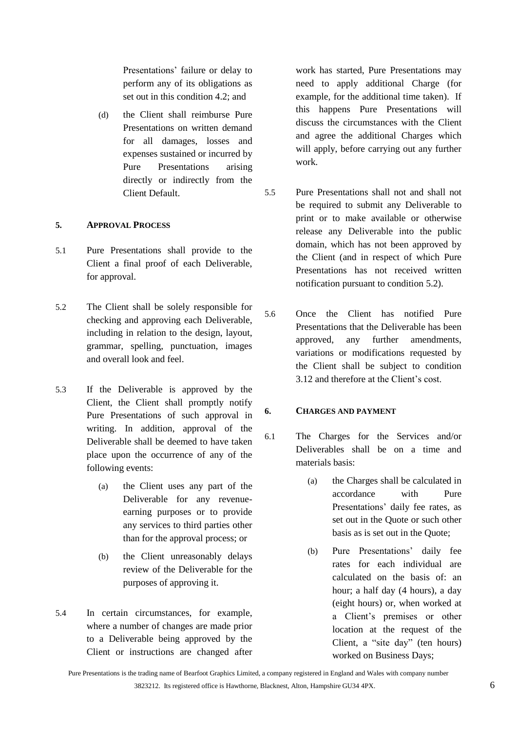Presentations' failure or delay to perform any of its obligations as set out in this condition [4.2;](#page-4-2) and

(d) the Client shall reimburse Pure Presentations on written demand for all damages, losses and expenses sustained or incurred by Pure Presentations arising directly or indirectly from the Client Default.

# **5. APPROVAL PROCESS**

- 5.1 Pure Presentations shall provide to the Client a final proof of each Deliverable, for approval.
- <span id="page-5-1"></span>5.2 The Client shall be solely responsible for checking and approving each Deliverable, including in relation to the design, layout, grammar, spelling, punctuation, images and overall look and feel.
- 5.3 If the Deliverable is approved by the Client, the Client shall promptly notify Pure Presentations of such approval in writing. In addition, approval of the Deliverable shall be deemed to have taken place upon the occurrence of any of the following events:
	- (a) the Client uses any part of the Deliverable for any revenueearning purposes or to provide any services to third parties other than for the approval process; or
	- (b) the Client unreasonably delays review of the Deliverable for the purposes of approving it.
- 5.4 In certain circumstances, for example, where a number of changes are made prior to a Deliverable being approved by the Client or instructions are changed after

work has started, Pure Presentations may need to apply additional Charge (for example, for the additional time taken). If this happens Pure Presentations will discuss the circumstances with the Client and agree the additional Charges which will apply, before carrying out any further work.

- 5.5 Pure Presentations shall not and shall not be required to submit any Deliverable to print or to make available or otherwise release any Deliverable into the public domain, which has not been approved by the Client (and in respect of which Pure Presentations has not received written notification pursuant to condition [5.2\)](#page-5-1).
- 5.6 Once the Client has notified Pure Presentations that the Deliverable has been approved, any further amendments, variations or modifications requested by the Client shall be subject to condition [3.12](#page-3-2) and therefore at the Client's cost.

# <span id="page-5-0"></span>**6. CHARGES AND PAYMENT**

- <span id="page-5-2"></span>6.1 The Charges for the Services and/or Deliverables shall be on a time and materials basis:
	- (a) the Charges shall be calculated in accordance with Pure Presentations' daily fee rates, as set out in the Quote or such other basis as is set out in the Quote;
	- (b) Pure Presentations' daily fee rates for each individual are calculated on the basis of: an hour; a half day (4 hours), a day (eight hours) or, when worked at a Client's premises or other location at the request of the Client, a "site day" (ten hours) worked on Business Days;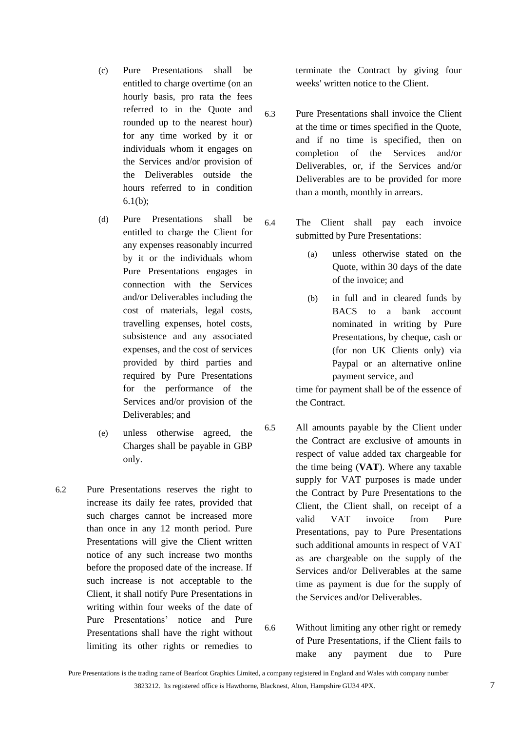- (c) Pure Presentations shall be entitled to charge overtime (on an hourly basis, pro rata the fees referred to in the Quote and rounded up to the nearest hour) for any time worked by it or individuals whom it engages on the Services and/or provision of the Deliverables outside the hours referred to in condition [6.1\(b\);](#page-5-2)
- (d) Pure Presentations shall be entitled to charge the Client for any expenses reasonably incurred by it or the individuals whom Pure Presentations engages in connection with the Services and/or Deliverables including the cost of materials, legal costs, travelling expenses, hotel costs, subsistence and any associated expenses, and the cost of services provided by third parties and required by Pure Presentations for the performance of the Services and/or provision of the Deliverables; and
- (e) unless otherwise agreed, the Charges shall be payable in GBP only.
- 6.2 Pure Presentations reserves the right to increase its daily fee rates, provided that such charges cannot be increased more than once in any 12 month period. Pure Presentations will give the Client written notice of any such increase two months before the proposed date of the increase. If such increase is not acceptable to the Client, it shall notify Pure Presentations in writing within four weeks of the date of Pure Presentations' notice and Pure Presentations shall have the right without limiting its other rights or remedies to

terminate the Contract by giving four weeks' written notice to the Client.

- 6.3 Pure Presentations shall invoice the Client at the time or times specified in the Quote, and if no time is specified, then on completion of the Services and/or Deliverables, or, if the Services and/or Deliverables are to be provided for more than a month, monthly in arrears.
- 6.4 The Client shall pay each invoice submitted by Pure Presentations:
	- (a) unless otherwise stated on the Quote, within 30 days of the date of the invoice; and
	- (b) in full and in cleared funds by BACS to a bank account nominated in writing by Pure Presentations, by cheque, cash or (for non UK Clients only) via Paypal or an alternative online payment service, and

time for payment shall be of the essence of the Contract.

- 6.5 All amounts payable by the Client under the Contract are exclusive of amounts in respect of value added tax chargeable for the time being (**VAT**). Where any taxable supply for VAT purposes is made under the Contract by Pure Presentations to the Client, the Client shall, on receipt of a valid VAT invoice from Pure Presentations, pay to Pure Presentations such additional amounts in respect of VAT as are chargeable on the supply of the Services and/or Deliverables at the same time as payment is due for the supply of the Services and/or Deliverables.
- <span id="page-6-0"></span>6.6 Without limiting any other right or remedy of Pure Presentations, if the Client fails to make any payment due to Pure

Pure Presentations is the trading name of Bearfoot Graphics Limited, a company registered in England and Wales with company number 3823212. Its registered office is Hawthorne, Blacknest, Alton, Hampshire GU34 4PX. 7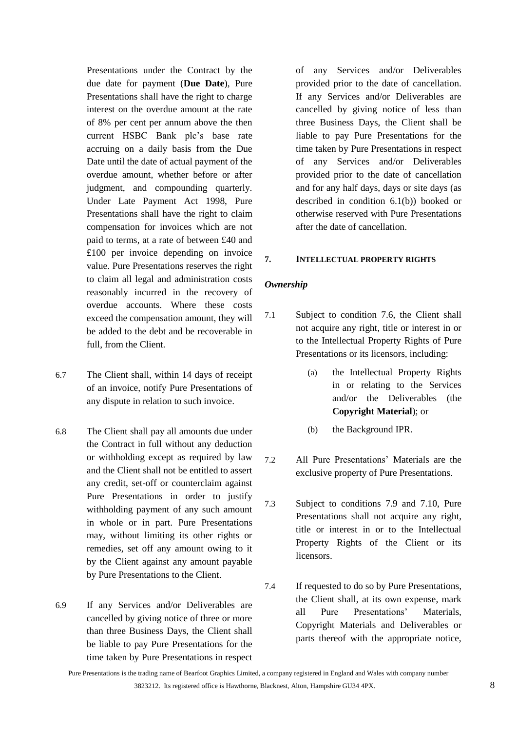Presentations under the Contract by the due date for payment (**Due Date**), Pure Presentations shall have the right to charge interest on the overdue amount at the rate of 8% per cent per annum above the then current HSBC Bank plc's base rate accruing on a daily basis from the Due Date until the date of actual payment of the overdue amount, whether before or after judgment, and compounding quarterly. Under Late Payment Act 1998, Pure Presentations shall have the right to claim compensation for invoices which are not paid to terms, at a rate of between £40 and £100 per invoice depending on invoice value. Pure Presentations reserves the right to claim all legal and administration costs reasonably incurred in the recovery of overdue accounts. Where these costs exceed the compensation amount, they will be added to the debt and be recoverable in full, from the Client.

- 6.7 The Client shall, within 14 days of receipt of an invoice, notify Pure Presentations of any dispute in relation to such invoice.
- 6.8 The Client shall pay all amounts due under the Contract in full without any deduction or withholding except as required by law and the Client shall not be entitled to assert any credit, set-off or counterclaim against Pure Presentations in order to justify withholding payment of any such amount in whole or in part. Pure Presentations may, without limiting its other rights or remedies, set off any amount owing to it by the Client against any amount payable by Pure Presentations to the Client.
- 6.9 If any Services and/or Deliverables are cancelled by giving notice of three or more than three Business Days, the Client shall be liable to pay Pure Presentations for the time taken by Pure Presentations in respect

of any Services and/or Deliverables provided prior to the date of cancellation. If any Services and/or Deliverables are cancelled by giving notice of less than three Business Days, the Client shall be liable to pay Pure Presentations for the time taken by Pure Presentations in respect of any Services and/or Deliverables provided prior to the date of cancellation and for any half days, days or site days (as described in condition [6.1\(b\)\)](#page-5-2) booked or otherwise reserved with Pure Presentations after the date of cancellation.

#### **7. INTELLECTUAL PROPERTY RIGHTS**

#### *Ownership*

- <span id="page-7-0"></span>7.1 Subject to condition [7.6,](#page-8-0) the Client shall not acquire any right, title or interest in or to the Intellectual Property Rights of Pure Presentations or its licensors, including:
	- (a) the Intellectual Property Rights in or relating to the Services and/or the Deliverables (the **Copyright Material**); or
	- (b) the Background IPR.
- 7.2 All Pure Presentations' Materials are the exclusive property of Pure Presentations.
- 7.3 Subject to conditions [7.9](#page-8-1) and [7.10,](#page-8-2) Pure Presentations shall not acquire any right, title or interest in or to the Intellectual Property Rights of the Client or its licensors.
- 7.4 If requested to do so by Pure Presentations, the Client shall, at its own expense, mark all Pure Presentations' Materials, Copyright Materials and Deliverables or parts thereof with the appropriate notice,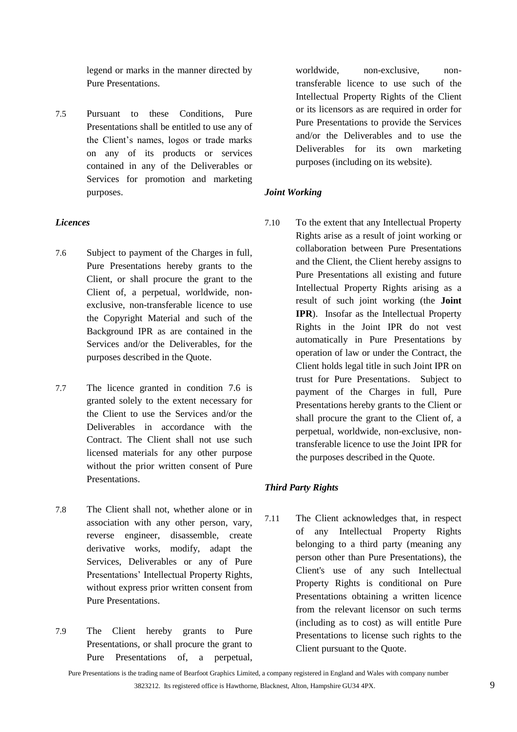legend or marks in the manner directed by Pure Presentations.

7.5 Pursuant to these Conditions, Pure Presentations shall be entitled to use any of the Client's names, logos or trade marks on any of its products or services contained in any of the Deliverables or Services for promotion and marketing purposes.

# *Licences*

- <span id="page-8-0"></span>7.6 Subject to payment of the Charges in full, Pure Presentations hereby grants to the Client, or shall procure the grant to the Client of, a perpetual, worldwide, nonexclusive, non-transferable licence to use the Copyright Material and such of the Background IPR as are contained in the Services and/or the Deliverables, for the purposes described in the Quote.
- 7.7 The licence granted in condition [7.6](#page-8-0) is granted solely to the extent necessary for the Client to use the Services and/or the Deliverables in accordance with the Contract. The Client shall not use such licensed materials for any other purpose without the prior written consent of Pure Presentations.
- 7.8 The Client shall not, whether alone or in association with any other person, vary, reverse engineer, disassemble, create derivative works, modify, adapt the Services, Deliverables or any of Pure Presentations' Intellectual Property Rights, without express prior written consent from Pure Presentations.
- <span id="page-8-1"></span>7.9 The Client hereby grants to Pure Presentations, or shall procure the grant to Pure Presentations of, a perpetual,

worldwide, non-exclusive, nontransferable licence to use such of the Intellectual Property Rights of the Client or its licensors as are required in order for Pure Presentations to provide the Services and/or the Deliverables and to use the Deliverables for its own marketing purposes (including on its website).

# *Joint Working*

<span id="page-8-2"></span>7.10 To the extent that any Intellectual Property Rights arise as a result of joint working or collaboration between Pure Presentations and the Client, the Client hereby assigns to Pure Presentations all existing and future Intellectual Property Rights arising as a result of such joint working (the **Joint IPR**). Insofar as the Intellectual Property Rights in the Joint IPR do not vest automatically in Pure Presentations by operation of law or under the Contract, the Client holds legal title in such Joint IPR on trust for Pure Presentations. Subject to payment of the Charges in full, Pure Presentations hereby grants to the Client or shall procure the grant to the Client of, a perpetual, worldwide, non-exclusive, nontransferable licence to use the Joint IPR for the purposes described in the Quote.

# *Third Party Rights*

7.11 The Client acknowledges that, in respect of any Intellectual Property Rights belonging to a third party (meaning any person other than Pure Presentations), the Client's use of any such Intellectual Property Rights is conditional on Pure Presentations obtaining a written licence from the relevant licensor on such terms (including as to cost) as will entitle Pure Presentations to license such rights to the Client pursuant to the Quote.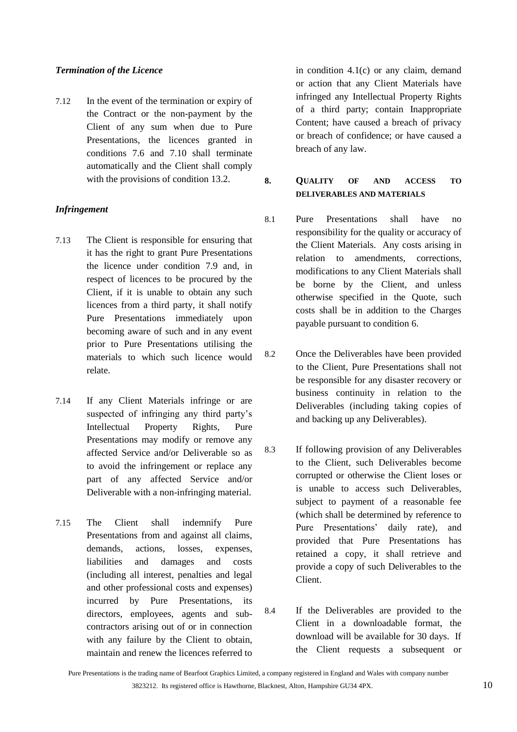### *Termination of the Licence*

7.12 In the event of the termination or expiry of the Contract or the non-payment by the Client of any sum when due to Pure Presentations, the licences granted in conditions [7.6](#page-8-0) and [7.10](#page-8-2) shall terminate automatically and the Client shall comply with the provisions of condition [13.2.](#page-13-0)

# *Infringement*

- 7.13 The Client is responsible for ensuring that it has the right to grant Pure Presentations the licence under condition [7.9](#page-8-1) and, in respect of licences to be procured by the Client, if it is unable to obtain any such licences from a third party, it shall notify Pure Presentations immediately upon becoming aware of such and in any event prior to Pure Presentations utilising the materials to which such licence would relate.
- 7.14 If any Client Materials infringe or are suspected of infringing any third party's Intellectual Property Rights, Pure Presentations may modify or remove any affected Service and/or Deliverable so as to avoid the infringement or replace any part of any affected Service and/or Deliverable with a non-infringing material.
- 7.15 The Client shall indemnify Pure Presentations from and against all claims, demands, actions, losses, expenses, liabilities and damages and costs (including all interest, penalties and legal and other professional costs and expenses) incurred by Pure Presentations, its directors, employees, agents and subcontractors arising out of or in connection with any failure by the Client to obtain, maintain and renew the licences referred to

in condition [4.1\(c\)](#page-4-1) or any claim, demand or action that any Client Materials have infringed any Intellectual Property Rights of a third party; contain Inappropriate Content; have caused a breach of privacy or breach of confidence; or have caused a breach of any law.

**8. QUALITY OF AND ACCESS TO DELIVERABLES AND MATERIALS**

- 8.1 Pure Presentations shall have no responsibility for the quality or accuracy of the Client Materials. Any costs arising in relation to amendments, corrections, modifications to any Client Materials shall be borne by the Client, and unless otherwise specified in the Quote, such costs shall be in addition to the Charges payable pursuant to condition [6.](#page-5-0)
- 8.2 Once the Deliverables have been provided to the Client, Pure Presentations shall not be responsible for any disaster recovery or business continuity in relation to the Deliverables (including taking copies of and backing up any Deliverables).
- 8.3 If following provision of any Deliverables to the Client, such Deliverables become corrupted or otherwise the Client loses or is unable to access such Deliverables, subject to payment of a reasonable fee (which shall be determined by reference to Pure Presentations' daily rate), and provided that Pure Presentations has retained a copy, it shall retrieve and provide a copy of such Deliverables to the Client.
- 8.4 If the Deliverables are provided to the Client in a downloadable format, the download will be available for 30 days. If the Client requests a subsequent or

Pure Presentations is the trading name of Bearfoot Graphics Limited, a company registered in England and Wales with company number 3823212. Its registered office is Hawthorne, Blacknest, Alton, Hampshire GU34 4PX. 10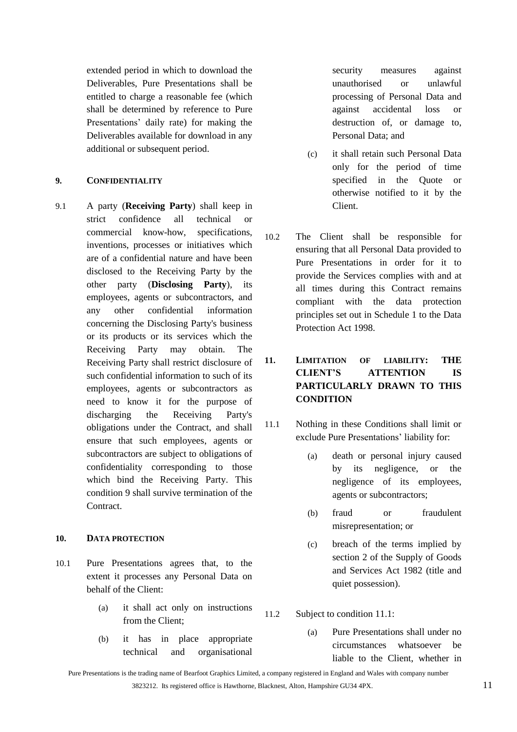extended period in which to download the Deliverables, Pure Presentations shall be entitled to charge a reasonable fee (which shall be determined by reference to Pure Presentations' daily rate) for making the Deliverables available for download in any additional or subsequent period.

### <span id="page-10-1"></span>**9. CONFIDENTIALITY**

9.1 A party (**Receiving Party**) shall keep in strict confidence all technical or commercial know-how, specifications, inventions, processes or initiatives which are of a confidential nature and have been disclosed to the Receiving Party by the other party (**Disclosing Party**), its employees, agents or subcontractors, and any other confidential information concerning the Disclosing Party's business or its products or its services which the Receiving Party may obtain. The Receiving Party shall restrict disclosure of such confidential information to such of its employees, agents or subcontractors as need to know it for the purpose of discharging the Receiving Party's obligations under the Contract, and shall ensure that such employees, agents or subcontractors are subject to obligations of confidentiality corresponding to those which bind the Receiving Party. This condition [9](#page-10-1) shall survive termination of the **Contract** 

# **10. DATA PROTECTION**

- 10.1 Pure Presentations agrees that, to the extent it processes any Personal Data on behalf of the Client:
	- (a) it shall act only on instructions from the Client;
	- (b) it has in place appropriate technical and organisational

security measures against unauthorised or unlawful processing of Personal Data and against accidental loss or destruction of, or damage to, Personal Data; and

- (c) it shall retain such Personal Data only for the period of time specified in the Quote or otherwise notified to it by the Client.
- 10.2 The Client shall be responsible for ensuring that all Personal Data provided to Pure Presentations in order for it to provide the Services complies with and at all times during this Contract remains compliant with the data protection principles set out in Schedule 1 to the Data Protection Act 1998.

# <span id="page-10-0"></span>**11. LIMITATION OF LIABILITY: THE CLIENT'S ATTENTION IS PARTICULARLY DRAWN TO THIS CONDITION**

- <span id="page-10-2"></span>11.1 Nothing in these Conditions shall limit or exclude Pure Presentations' liability for:
	- (a) death or personal injury caused by its negligence, or the negligence of its employees, agents or subcontractors;
	- (b) fraud or fraudulent misrepresentation; or
	- (c) breach of the terms implied by section 2 of the Supply of Goods and Services Act 1982 (title and quiet possession).
- 11.2 Subject to condition [11.1:](#page-10-2)
	- (a) Pure Presentations shall under no circumstances whatsoever be liable to the Client, whether in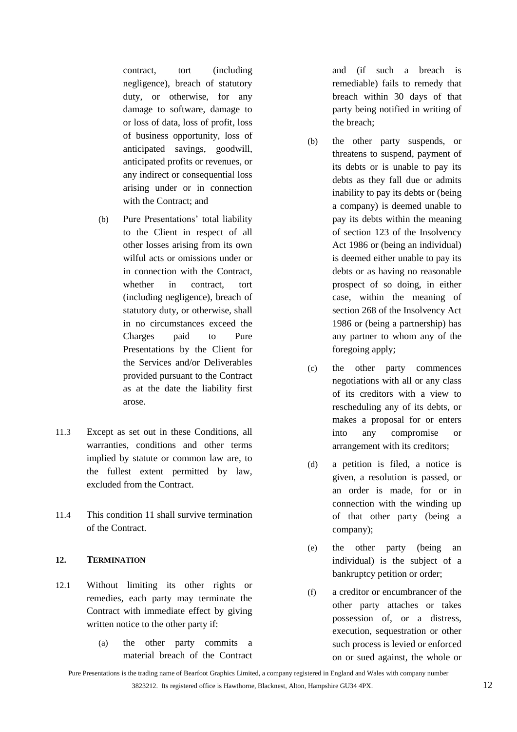contract, tort (including negligence), breach of statutory duty, or otherwise, for any damage to software, damage to or loss of data, loss of profit, loss of business opportunity, loss of anticipated savings, goodwill, anticipated profits or revenues, or any indirect or consequential loss arising under or in connection with the Contract; and

- (b) Pure Presentations' total liability to the Client in respect of all other losses arising from its own wilful acts or omissions under or in connection with the Contract, whether in contract, tort (including negligence), breach of statutory duty, or otherwise, shall in no circumstances exceed the Charges paid to Pure Presentations by the Client for the Services and/or Deliverables provided pursuant to the Contract as at the date the liability first arose.
- 11.3 Except as set out in these Conditions, all warranties, conditions and other terms implied by statute or common law are, to the fullest extent permitted by law, excluded from the Contract.
- 11.4 This condition [11](#page-10-0) shall survive termination of the Contract.

# **12. TERMINATION**

- 12.1 Without limiting its other rights or remedies, each party may terminate the Contract with immediate effect by giving written notice to the other party if:
	- (a) the other party commits a material breach of the Contract

and (if such a breach is remediable) fails to remedy that breach within 30 days of that party being notified in writing of the breach;

- <span id="page-11-0"></span>(b) the other party suspends, or threatens to suspend, payment of its debts or is unable to pay its debts as they fall due or admits inability to pay its debts or (being a company) is deemed unable to pay its debts within the meaning of section 123 of the Insolvency Act 1986 or (being an individual) is deemed either unable to pay its debts or as having no reasonable prospect of so doing, in either case, within the meaning of section 268 of the Insolvency Act 1986 or (being a partnership) has any partner to whom any of the foregoing apply;
- (c) the other party commences negotiations with all or any class of its creditors with a view to rescheduling any of its debts, or makes a proposal for or enters into any compromise or arrangement with its creditors;
- (d) a petition is filed, a notice is given, a resolution is passed, or an order is made, for or in connection with the winding up of that other party (being a company);
- (e) the other party (being an individual) is the subject of a bankruptcy petition or order;
- (f) a creditor or encumbrancer of the other party attaches or takes possession of, or a distress, execution, sequestration or other such process is levied or enforced on or sued against, the whole or

Pure Presentations is the trading name of Bearfoot Graphics Limited, a company registered in England and Wales with company number 3823212. Its registered office is Hawthorne, Blacknest, Alton, Hampshire GU34 4PX. 12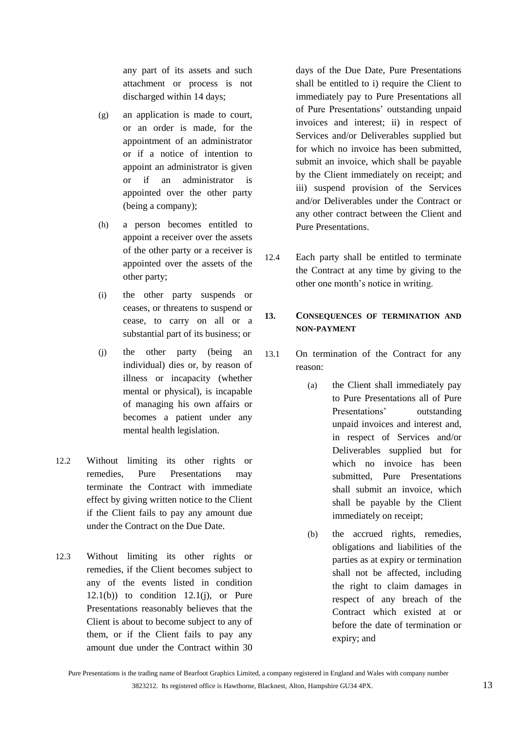any part of its assets and such attachment or process is not discharged within 14 days;

- (g) an application is made to court, or an order is made, for the appointment of an administrator or if a notice of intention to appoint an administrator is given or if an administrator is appointed over the other party (being a company);
- (h) a person becomes entitled to appoint a receiver over the assets of the other party or a receiver is appointed over the assets of the other party;
- (i) the other party suspends or ceases, or threatens to suspend or cease, to carry on all or a substantial part of its business; or
- <span id="page-12-0"></span>(j) the other party (being an individual) dies or, by reason of illness or incapacity (whether mental or physical), is incapable of managing his own affairs or becomes a patient under any mental health legislation.
- 12.2 Without limiting its other rights or remedies, Pure Presentations may terminate the Contract with immediate effect by giving written notice to the Client if the Client fails to pay any amount due under the Contract on the Due Date.
- 12.3 Without limiting its other rights or remedies, if the Client becomes subject to any of the events listed in condition  $12.1(b)$  to condition  $12.1(i)$ , or Pure Presentations reasonably believes that the Client is about to become subject to any of them, or if the Client fails to pay any amount due under the Contract within 30

days of the Due Date, Pure Presentations shall be entitled to i) require the Client to immediately pay to Pure Presentations all of Pure Presentations' outstanding unpaid invoices and interest; ii) in respect of Services and/or Deliverables supplied but for which no invoice has been submitted, submit an invoice, which shall be payable by the Client immediately on receipt; and iii) suspend provision of the Services and/or Deliverables under the Contract or any other contract between the Client and Pure Presentations.

12.4 Each party shall be entitled to terminate the Contract at any time by giving to the other one month's notice in writing.

# **13. CONSEQUENCES OF TERMINATION AND NON-PAYMENT**

- 13.1 On termination of the Contract for any reason:
	- (a) the Client shall immediately pay to Pure Presentations all of Pure Presentations' outstanding unpaid invoices and interest and, in respect of Services and/or Deliverables supplied but for which no invoice has been submitted, Pure Presentations shall submit an invoice, which shall be payable by the Client immediately on receipt;
	- (b) the accrued rights, remedies, obligations and liabilities of the parties as at expiry or termination shall not be affected, including the right to claim damages in respect of any breach of the Contract which existed at or before the date of termination or expiry; and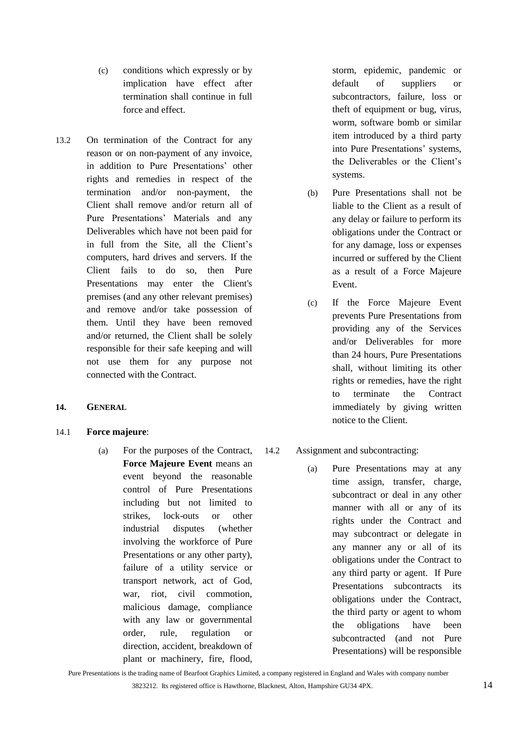- (c) conditions which expressly or by implication have effect after termination shall continue in full force and effect.
- <span id="page-13-0"></span>13.2 On termination of the Contract for any reason or on non-payment of any invoice, in addition to Pure Presentations' other rights and remedies in respect of the termination and/or non-payment, the Client shall remove and/or return all of Pure Presentations' Materials and any Deliverables which have not been paid for in full from the Site, all the Client's computers, hard drives and servers. If the Client fails to do so, then Pure Presentations may enter the Client's premises (and any other relevant premises) and remove and/or take possession of them. Until they have been removed and/or returned, the Client shall be solely responsible for their safe keeping and will not use them for any purpose not connected with the Contract.

### **14. GENERAL**

# 14.1 **Force majeure**:

(a) For the purposes of the Contract, **Force Majeure Event** means an event beyond the reasonable control of Pure Presentations including but not limited to strikes, lock-outs or other industrial disputes (whether involving the workforce of Pure Presentations or any other party), failure of a utility service or transport network, act of God, war, riot, civil commotion, malicious damage, compliance with any law or governmental order, rule, regulation or direction, accident, breakdown of plant or machinery, fire, flood,

storm, epidemic, pandemic or default of suppliers or subcontractors, failure, loss or theft of equipment or bug, virus, worm, software bomb or similar item introduced by a third party into Pure Presentations' systems, the Deliverables or the Client's systems.

- (b) Pure Presentations shall not be liable to the Client as a result of any delay or failure to perform its obligations under the Contract or for any damage, loss or expenses incurred or suffered by the Client as a result of a Force Majeure Event.
- (c) If the Force Majeure Event prevents Pure Presentations from providing any of the Services and/or Deliverables for more than 24 hours, Pure Presentations shall, without limiting its other rights or remedies, have the right to terminate the Contract immediately by giving written notice to the Client.

# 14.2 Assignment and subcontracting:

(a) Pure Presentations may at any time assign, transfer, charge, subcontract or deal in any other manner with all or any of its rights under the Contract and may subcontract or delegate in any manner any or all of its obligations under the Contract to any third party or agent. If Pure Presentations subcontracts its obligations under the Contract, the third party or agent to whom the obligations have been subcontracted (and not Pure Presentations) will be responsible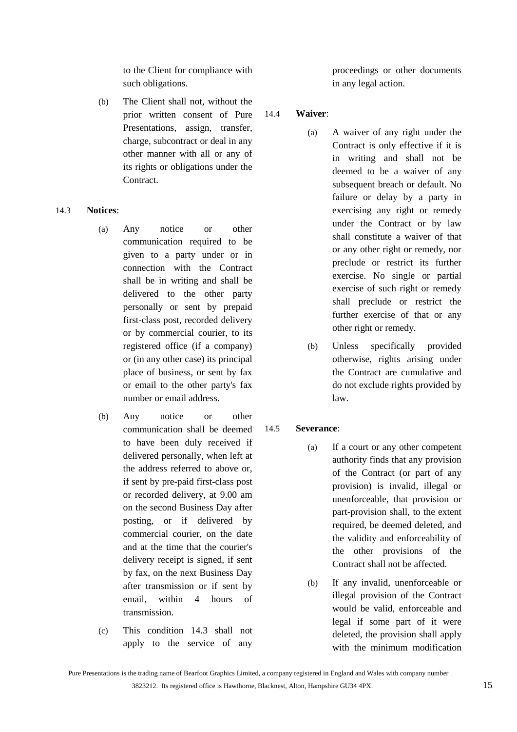to the Client for compliance with such obligations.

(b) The Client shall not, without the prior written consent of Pure Presentations, assign, transfer, charge, subcontract or deal in any other manner with all or any of its rights or obligations under the Contract.

### <span id="page-14-0"></span>14.3 **Notices**:

- (a) Any notice or other communication required to be given to a party under or in connection with the Contract shall be in writing and shall be delivered to the other party personally or sent by prepaid first-class post, recorded delivery or by commercial courier, to its registered office (if a company) or (in any other case) its principal place of business, or sent by fax or email to the other party's fax number or email address.
- (b) Any notice or other communication shall be deemed to have been duly received if delivered personally, when left at the address referred to above or, if sent by pre-paid first-class post or recorded delivery, at 9.00 am on the second Business Day after posting, or if delivered by commercial courier, on the date and at the time that the courier's delivery receipt is signed, if sent by fax, on the next Business Day after transmission or if sent by email, within 4 hours of transmission.
- (c) This condition [14.3](#page-14-0) shall not apply to the service of any

proceedings or other documents in any legal action.

### 14.4 **Waiver**:

- (a) A waiver of any right under the Contract is only effective if it is in writing and shall not be deemed to be a waiver of any subsequent breach or default. No failure or delay by a party in exercising any right or remedy under the Contract or by law shall constitute a waiver of that or any other right or remedy, nor preclude or restrict its further exercise. No single or partial exercise of such right or remedy shall preclude or restrict the further exercise of that or any other right or remedy.
- (b) Unless specifically provided otherwise, rights arising under the Contract are cumulative and do not exclude rights provided by law.

### 14.5 **Severance**:

- (a) If a court or any other competent authority finds that any provision of the Contract (or part of any provision) is invalid, illegal or unenforceable, that provision or part-provision shall, to the extent required, be deemed deleted, and the validity and enforceability of the other provisions of the Contract shall not be affected.
- (b) If any invalid, unenforceable or illegal provision of the Contract would be valid, enforceable and legal if some part of it were deleted, the provision shall apply with the minimum modification